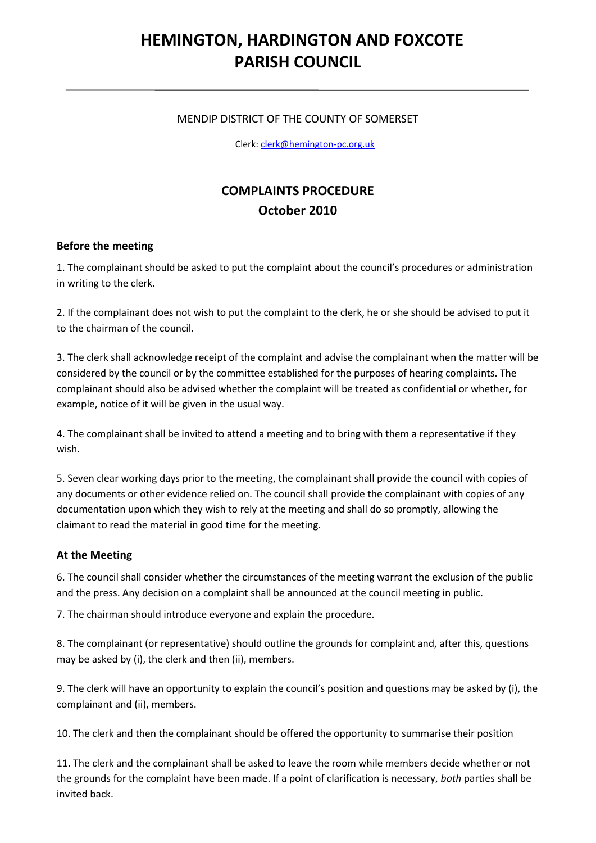# **HEMINGTON, HARDINGTON AND FOXCOTE PARISH COUNCIL**

#### MENDIP DISTRICT OF THE COUNTY OF SOMERSET

Clerk[: clerk@hemington-pc.org.uk](mailto:clerk@hemington-pc.org.uk)

## **COMPLAINTS PROCEDURE October 2010**

#### **Before the meeting**

1. The complainant should be asked to put the complaint about the council's procedures or administration in writing to the clerk.

2. If the complainant does not wish to put the complaint to the clerk, he or she should be advised to put it to the chairman of the council.

3. The clerk shall acknowledge receipt of the complaint and advise the complainant when the matter will be considered by the council or by the committee established for the purposes of hearing complaints. The complainant should also be advised whether the complaint will be treated as confidential or whether, for example, notice of it will be given in the usual way.

4. The complainant shall be invited to attend a meeting and to bring with them a representative if they wish.

5. Seven clear working days prior to the meeting, the complainant shall provide the council with copies of any documents or other evidence relied on. The council shall provide the complainant with copies of any documentation upon which they wish to rely at the meeting and shall do so promptly, allowing the claimant to read the material in good time for the meeting.

#### **At the Meeting**

6. The council shall consider whether the circumstances of the meeting warrant the exclusion of the public and the press. Any decision on a complaint shall be announced at the council meeting in public.

7. The chairman should introduce everyone and explain the procedure.

8. The complainant (or representative) should outline the grounds for complaint and, after this, questions may be asked by (i), the clerk and then (ii), members.

9. The clerk will have an opportunity to explain the council's position and questions may be asked by (i), the complainant and (ii), members.

10. The clerk and then the complainant should be offered the opportunity to summarise their position

11. The clerk and the complainant shall be asked to leave the room while members decide whether or not the grounds for the complaint have been made. If a point of clarification is necessary, *both* parties shall be invited back.